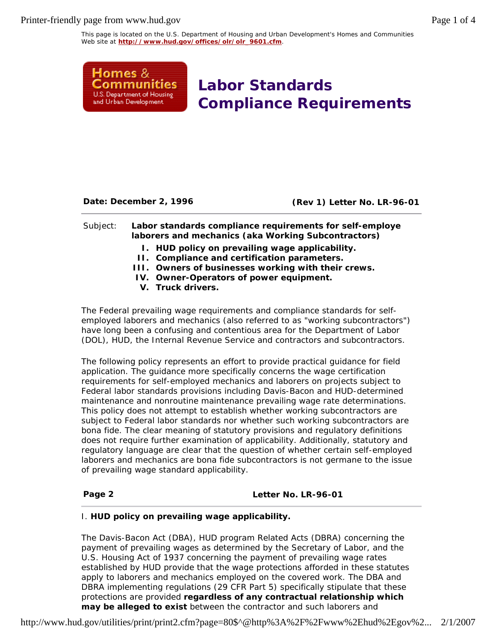Printer-friendly page from www.hud.gov Page 1 of 4

This page is located on the U.S. Department of Housing and Urban Development's Homes and Communities Web site at **http://www.hud.gov/offices/olr/olr\_9601.cfm**.



**Labor Standards Compliance Requirements**

**Date: December 2, 1996 (Rev 1) Letter No. LR-96-01**

## Subject: **Labor standards compliance requirements for self-employe laborers and mechanics (aka** *Working Subcontractors***)**

- **I. HUD policy on prevailing wage applicability.**
- **II. Compliance and certification parameters.**
- **III. Owners of businesses working with their crews.**
- **IV. Owner-Operators of power equipment.**
- **V. Truck drivers.**

The Federal prevailing wage requirements and compliance standards for selfemployed laborers and mechanics (also referred to as "working subcontractors") have long been a confusing and contentious area for the Department of Labor (DOL), HUD, the Internal Revenue Service and contractors and subcontractors.

The following policy represents an effort to provide practical guidance for field application. The guidance more specifically concerns the wage certification requirements for self-employed mechanics and laborers on projects subject to Federal labor standards provisions including Davis-Bacon and HUD-determined maintenance and nonroutine maintenance prevailing wage rate determinations. This policy does not attempt to establish whether working subcontractors are subject to Federal labor standards nor whether such working subcontractors are *bona fide*. The clear meaning of statutory provisions and regulatory definitions does not require further examination of applicability. Additionally, statutory and regulatory language are clear that the question of whether certain self-employed laborers and mechanics are bona fide subcontractors is not germane to the issue of prevailing wage standard applicability.

#### **Page 2 Letter No. LR-96-01**

## I. *HUD policy on prevailing wage applicability.*

The Davis-Bacon Act (DBA), HUD program Related Acts (DBRA) concerning the payment of prevailing wages as determined by the Secretary of Labor, and the U.S. Housing Act of 1937 concerning the payment of prevailing wage rates established by HUD provide that the wage protections afforded in these statutes apply to laborers and mechanics employed on the covered work. The DBA and DBRA implementing regulations (29 CFR Part 5) specifically stipulate that these protections are provided **regardless of any contractual relationship which may be alleged to exist** between the contractor and such laborers and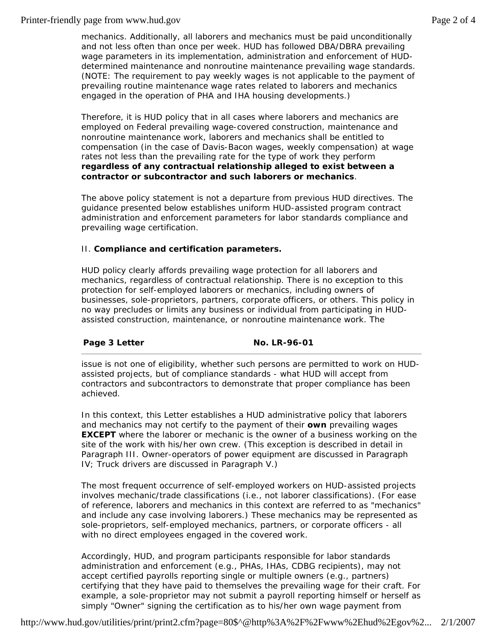## Printer-friendly page from www.hud.gov Page 2 of 4

mechanics. Additionally, all laborers and mechanics must be paid unconditionally and not less often than once per week. HUD has followed DBA/DBRA prevailing wage parameters in its implementation, administration and enforcement of HUDdetermined maintenance and nonroutine maintenance prevailing wage standards. (*NOTE*: The requirement to pay weekly wages is not applicable to the payment of prevailing routine maintenance wage rates related to laborers and mechanics engaged in the operation of PHA and IHA housing developments.)

Therefore, it is HUD policy that in all cases where laborers and mechanics are employed on Federal prevailing wage-covered construction, maintenance and nonroutine maintenance work, laborers and mechanics shall be entitled to compensation (in the case of Davis-Bacon wages, *weekly* compensation) at wage rates not less than the prevailing rate for the type of work they perform **regardless of any contractual relationship alleged to exist between a contractor or subcontractor and such laborers or mechanics**.

The above policy statement is not a departure from previous HUD directives. The guidance presented below establishes uniform HUD-assisted program contract administration and enforcement parameters for labor standards compliance and prevailing wage certification.

## II. *Compliance and certification parameters.*

HUD policy clearly affords prevailing wage protection for all laborers and mechanics, regardless of contractual relationship. There is no exception to this protection for self-employed laborers or mechanics, including owners of businesses, sole-proprietors, partners, corporate officers, or others. This policy in no way precludes or limits any business or individual from participating in HUDassisted construction, maintenance, or nonroutine maintenance work. The

# **Page 3 Letter No. LR-96-01**

issue is not one of *eligibility*, whether such persons are permitted to work on HUDassisted projects, but of compliance standards - what HUD will accept from contractors and subcontractors to demonstrate that proper compliance has been achieved.

In this context, this Letter establishes a HUD administrative policy that laborers and mechanics may not certify to the payment of their **own** prevailing wages **EXCEPT** where the laborer or mechanic is the owner of a business working on the site of the work with his/her own crew. (This exception is described in detail in Paragraph III. Owner-operators of power equipment are discussed in Paragraph IV; Truck drivers are discussed in Paragraph V.)

The most frequent occurrence of self-employed workers on HUD-assisted projects involves mechanic/trade classifications (i.e., not laborer classifications). (For ease of reference, laborers and mechanics in this context are referred to as "mechanics" and include any case involving laborers.) These mechanics may be represented as sole-proprietors, self-employed mechanics, partners, or corporate officers - all with no direct employees engaged in the covered work.

Accordingly, HUD, and program participants responsible for labor standards administration and enforcement (e.g., PHAs, IHAs, CDBG recipients), may not accept certified payrolls reporting single or multiple owners (e.g., partners) certifying that they have paid to themselves the prevailing wage for their craft. For example, a sole-proprietor may not submit a payroll reporting himself or herself as simply "Owner" signing the certification as to his/her own wage payment from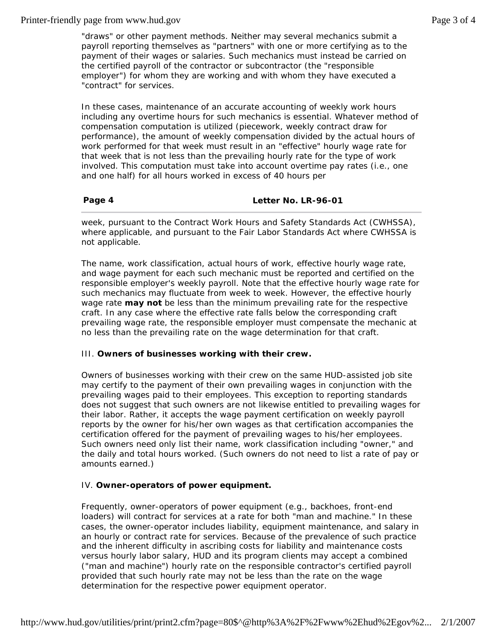## Printer-friendly page from www.hud.gov example 3 of 4

"draws" or other payment methods. Neither may several mechanics submit a payroll reporting themselves as "partners" with one or more certifying as to the payment of their wages or salaries. Such mechanics must instead be carried on the certified payroll of the contractor or subcontractor (the "responsible employer") for whom they are working and with whom they have executed a "contract" for services.

In these cases, maintenance of an accurate accounting of weekly work hours including any overtime hours for such mechanics is essential. Whatever method of compensation computation is utilized (piecework, weekly contract draw for performance), the amount of weekly compensation divided by the actual hours of work performed for that week must result in an "effective" hourly wage rate for that week that is not less than the prevailing hourly rate for the type of work involved. This computation must take into account overtime pay rates (i.e., one and one half) for all hours worked in excess of 40 hours per

# **Page 4 Letter No. LR-96-01**

week, pursuant to the Contract Work Hours and Safety Standards Act (CWHSSA), where applicable, and pursuant to the Fair Labor Standards Act where CWHSSA is not applicable.

The name, work classification, actual hours of work, effective hourly wage rate, and wage payment for each such mechanic must be reported and certified on the responsible employer's weekly payroll. Note that the effective hourly wage rate for such mechanics may fluctuate from week to week. However, the effective hourly wage rate **may not** be less than the minimum prevailing rate for the respective craft. In any case where the effective rate falls below the corresponding craft prevailing wage rate, the responsible employer must compensate the mechanic at no less than the prevailing rate on the wage determination for that craft.

## III. *Owners of businesses working with their crew.*

Owners of businesses working with their crew on the same HUD-assisted job site may certify to the payment of their own prevailing wages in conjunction with the prevailing wages paid to their employees. This exception to reporting standards *does not* suggest that such owners are not likewise entitled to prevailing wages for their labor. Rather, it accepts the wage payment certification on weekly payroll reports by the owner for his/her own wages as that certification *accompanies* the certification offered for the payment of prevailing wages to his/her employees. Such owners need only list their name, work classification including "owner," and the daily and total hours worked. (Such owners *do not* need to list a rate of pay or amounts earned.)

## IV. *Owner-operators of power equipment.*

Frequently, *owner-operators of power equipment* (e.g., backhoes, front-end loaders) will contract for services at a rate for both "man and machine." In these cases, the owner-operator includes liability, equipment maintenance, and salary in an hourly or contract rate for services. Because of the prevalence of such practice and the inherent difficulty in ascribing costs for liability and maintenance costs versus hourly *labor* salary, HUD and its program clients may accept a combined ("man and machine") hourly rate on the responsible contractor's certified payroll provided that such hourly rate may not be less than the rate on the wage determination for the respective power equipment operator.